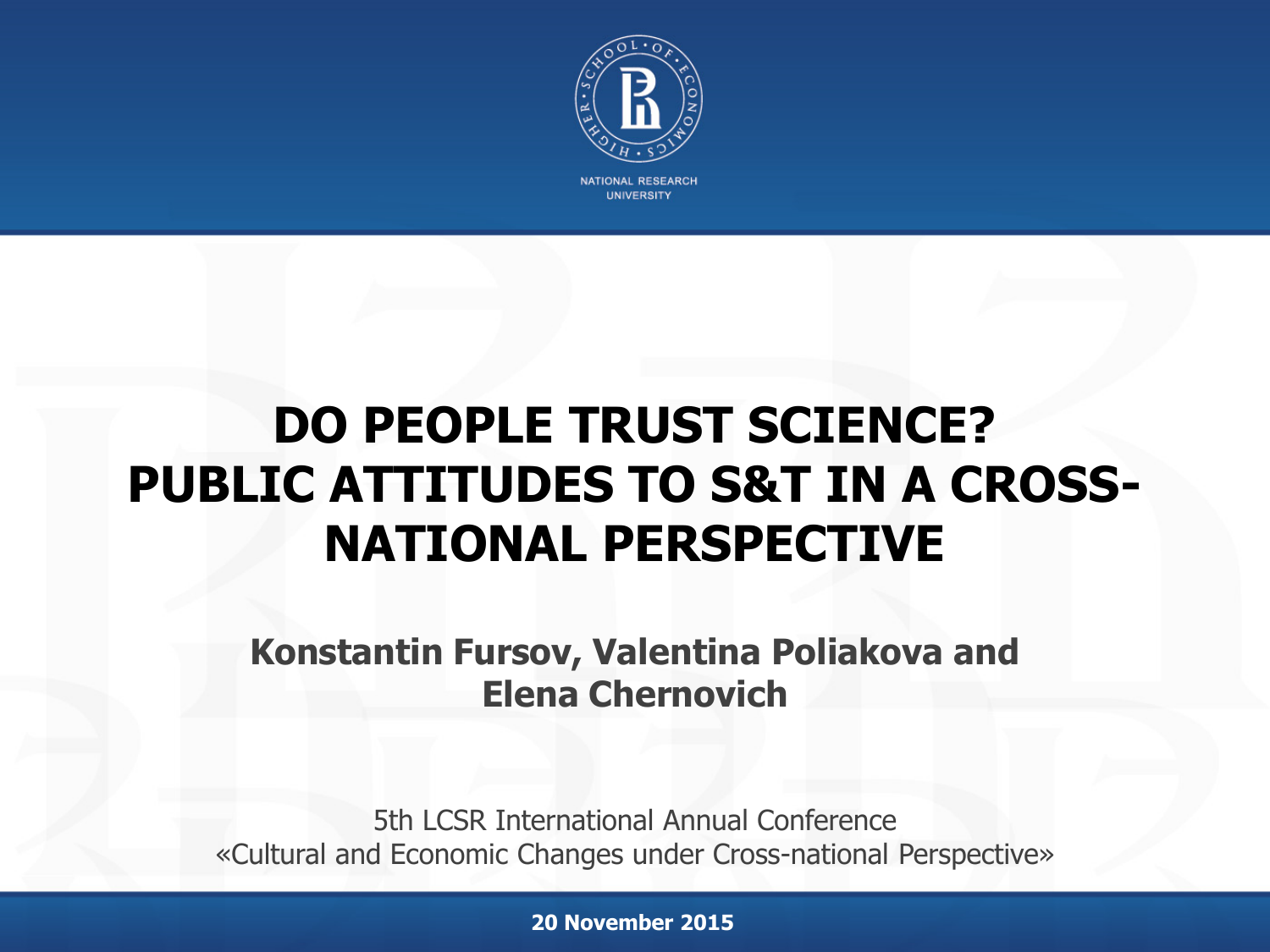

**JNIVERSITY** 

### **DO PEOPLE TRUST SCIENCE? PUBLIC ATTITUDES TO S&T IN A CROSS-NATIONAL PERSPECTIVE**

**Konstantin Fursov, Valentina Poliakova and Elena Chernovich**

5th LCSR International Annual Conference «Cultural and Economic Changes under Cross-national Perspective»

**20 November 2015**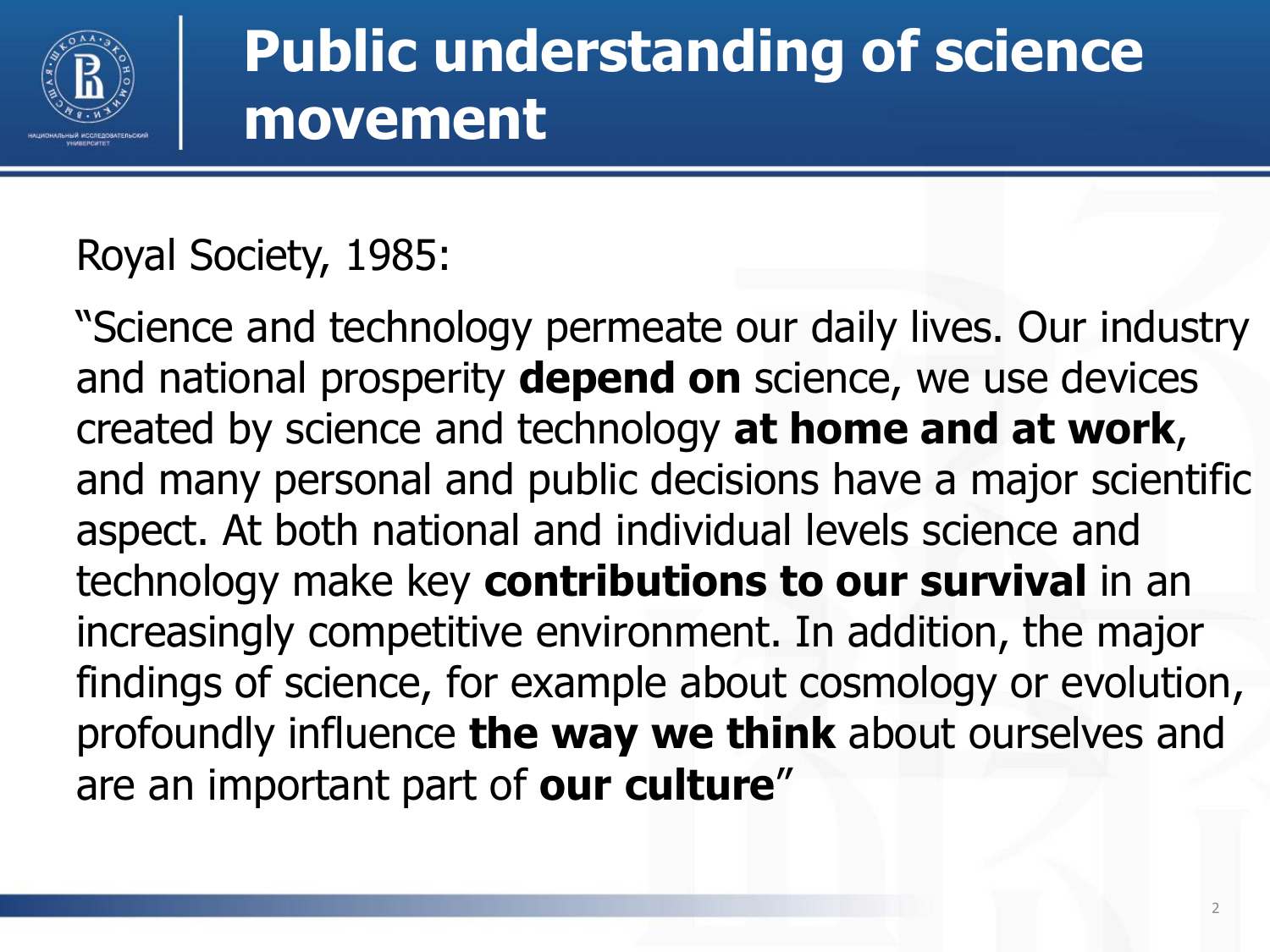

### **Public understanding of science movement**

### Royal Society, 1985:

"Science and technology permeate our daily lives. Our industry and national prosperity **depend on** science, we use devices created by science and technology **at home and at work**, and many personal and public decisions have a major scientific aspect. At both national and individual levels science and technology make key **contributions to our survival** in an increasingly competitive environment. In addition, the major findings of science, for example about cosmology or evolution, profoundly influence **the way we think** about ourselves and are an important part of **our culture**"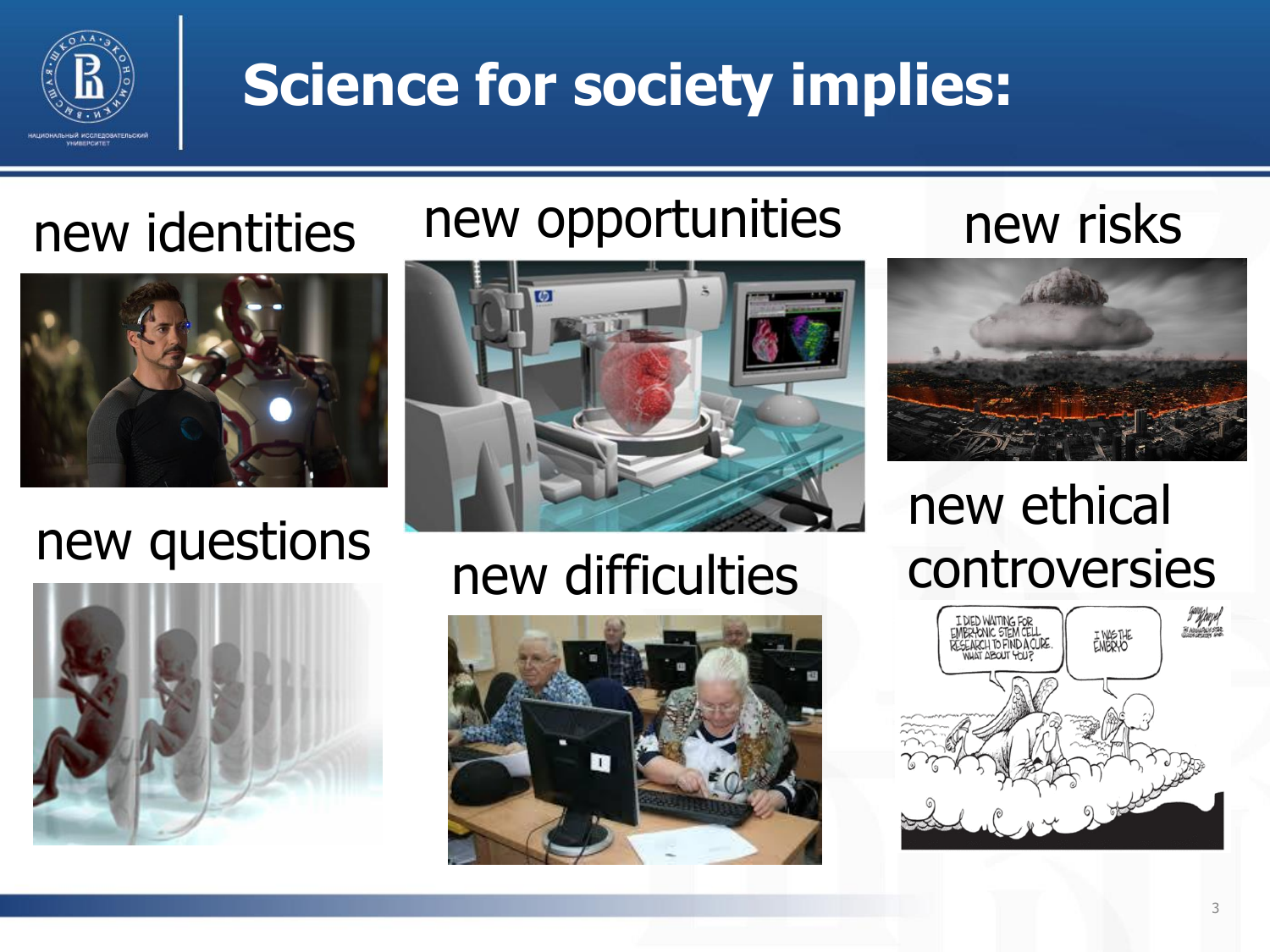

### **Science for society implies:**

### new identities

### new opportunities

new risks



### new questions





### new difficulties





### new ethical controversies

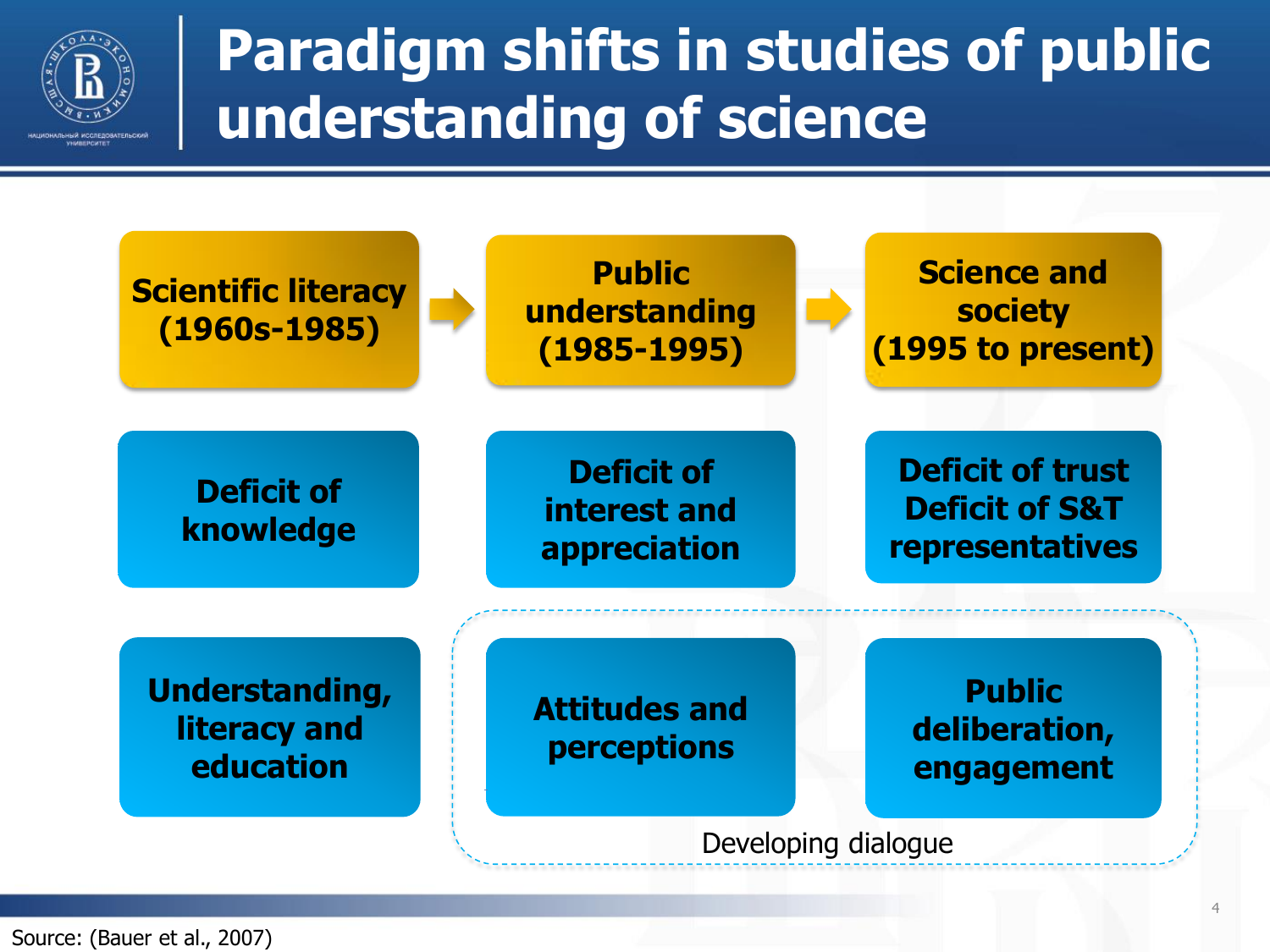

### **Paradigm shifts in studies of public understanding of science**



Source: (Bauer et al., 2007)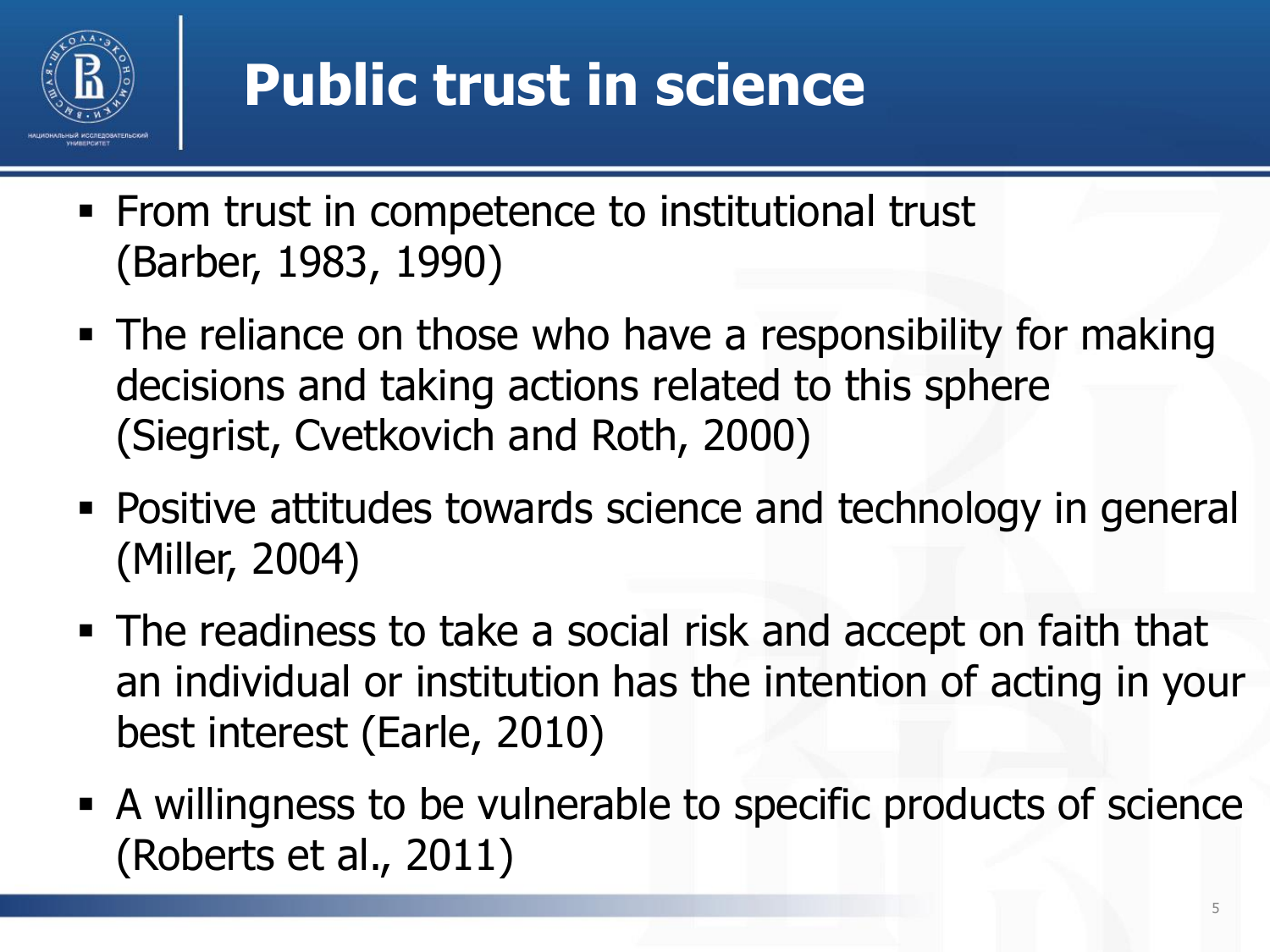

## **Public trust in science**

- **From trust in competence to institutional trust** (Barber, 1983, 1990)
- The reliance on those who have a responsibility for making decisions and taking actions related to this sphere (Siegrist, Cvetkovich and Roth, 2000)
- Positive attitudes towards science and technology in general (Miller, 2004)
- The readiness to take a social risk and accept on faith that an individual or institution has the intention of acting in your best interest (Earle, 2010)
- A willingness to be vulnerable to specific products of science (Roberts et al., 2011)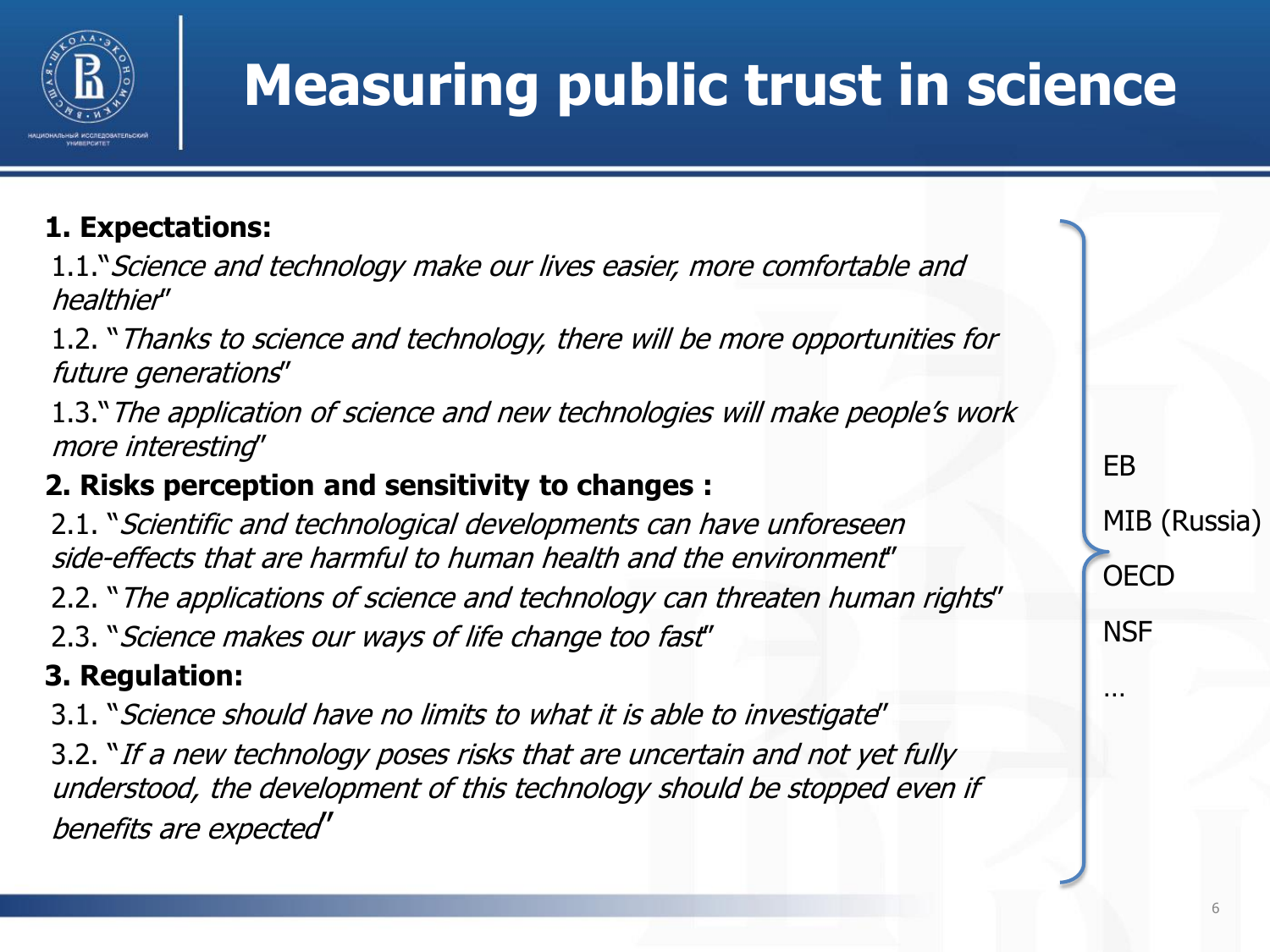

## **Measuring public trust in science**

#### **1. Expectations:**

1.1."Science and technology make our lives easier, more comfortable and healthier"

1.2. "Thanks to science and technology, there will be more opportunities for future generations"

1.3."The application of science and new technologies will make people's work more interesting"

#### **2. Risks perception and sensitivity to changes :**

2.1. "Scientific and technological developments can have unforeseen side-effects that are harmful to human health and the environment" 2.2. "The applications of science and technology can threaten human rights" 2.3. "Science makes our ways of life change too fast"

#### **3. Regulation:**

3.1. "Science should have no limits to what it is able to investigate" 3.2. "If a new technology poses risks that are uncertain and not yet fully understood, the development of this technology should be stopped even if benefits are expected"

MIB (Russia) **OECD NSF** 

EB

…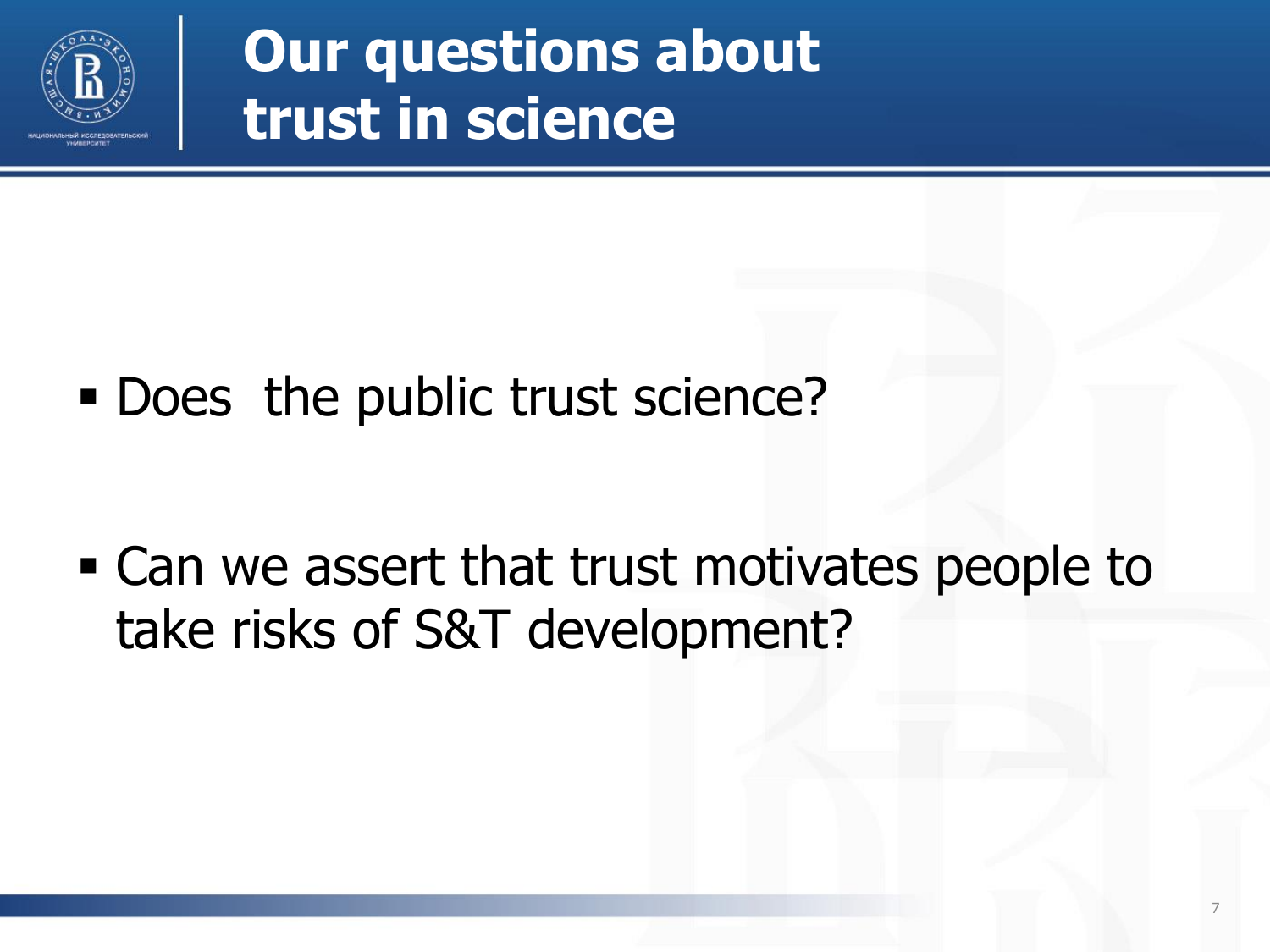

**Our questions about trust in science**

Does the public trust science?

 Can we assert that trust motivates people to take risks of S&T development?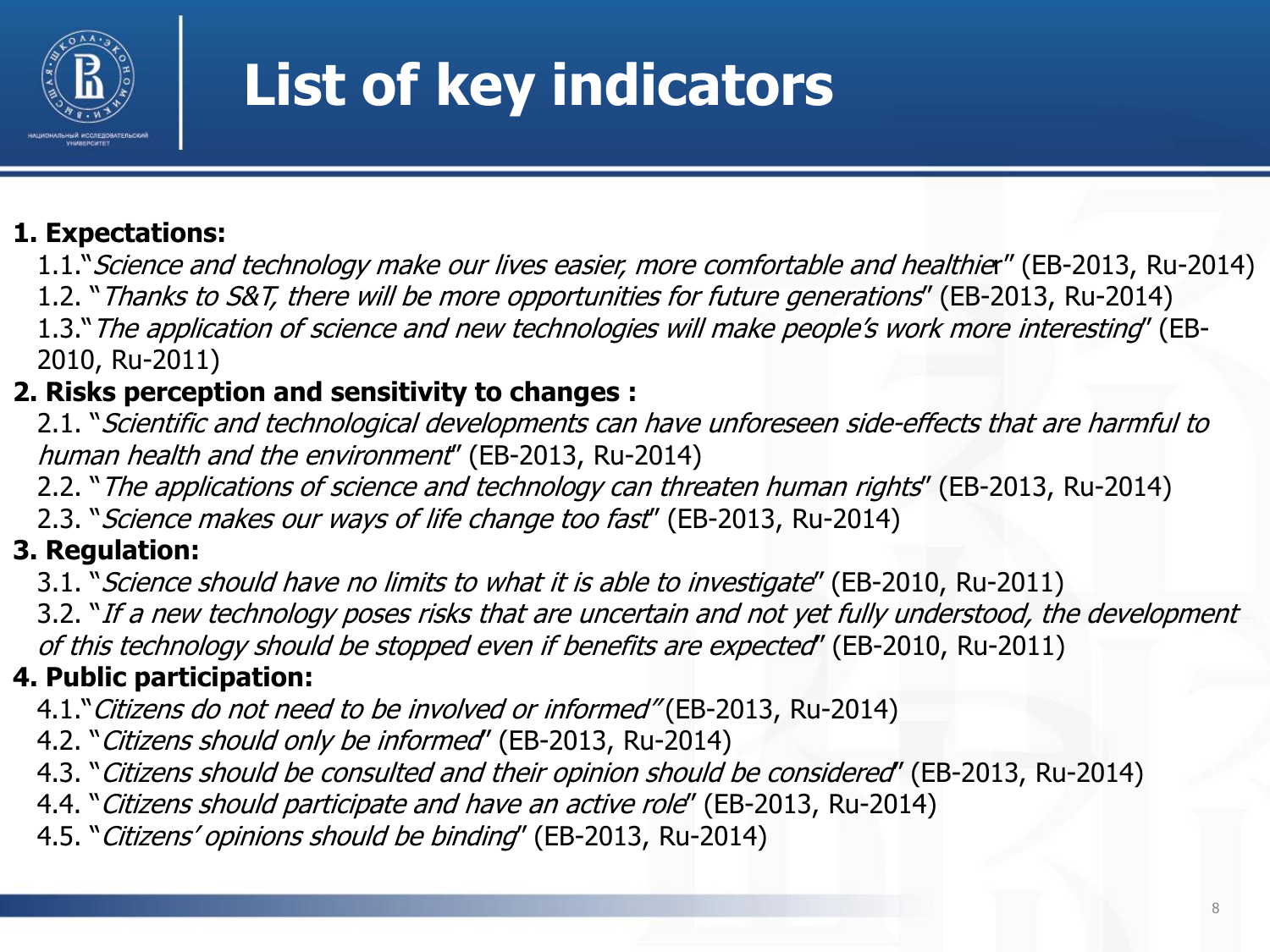

## **List of key indicators**

#### **1. Expectations:**

1.1."Science and technology make our lives easier, more comfortable and healthier" (EB-2013, Ru-2014)

1.2. "Thanks to S&T, there will be more opportunities for future generations" (EB-2013, Ru-2014)

1.3."The application of science and new technologies will make people's work more interesting" (EB-2010, Ru-2011)

#### **2. Risks perception and sensitivity to changes :**

2.1. "Scientific and technological developments can have unforeseen side-effects that are harmful to human health and the environment" (EB-2013, Ru-2014)

2.2. "The applications of science and technology can threaten human rights" (EB-2013, Ru-2014)

2.3. "Science makes our ways of life change too fast" (EB-2013, Ru-2014)

#### **3. Regulation:**

3.1. "Science should have no limits to what it is able to investigate" (EB-2010, Ru-2011)

3.2. "If a new technology poses risks that are uncertain and not yet fully understood, the development of this technology should be stopped even if benefits are expected" (EB-2010, Ru-2011)

#### **4. Public participation:**

4.1." Citizens do not need to be involved or informed" (EB-2013, Ru-2014)

4.2. "Citizens should only be informed" (EB-2013, Ru-2014)

4.3. "Citizens should be consulted and their opinion should be considered" (EB-2013, Ru-2014)

4.4. "Citizens should participate and have an active role" (EB-2013, Ru-2014)

4.5. "Citizens' opinions should be binding" (EB-2013, Ru-2014)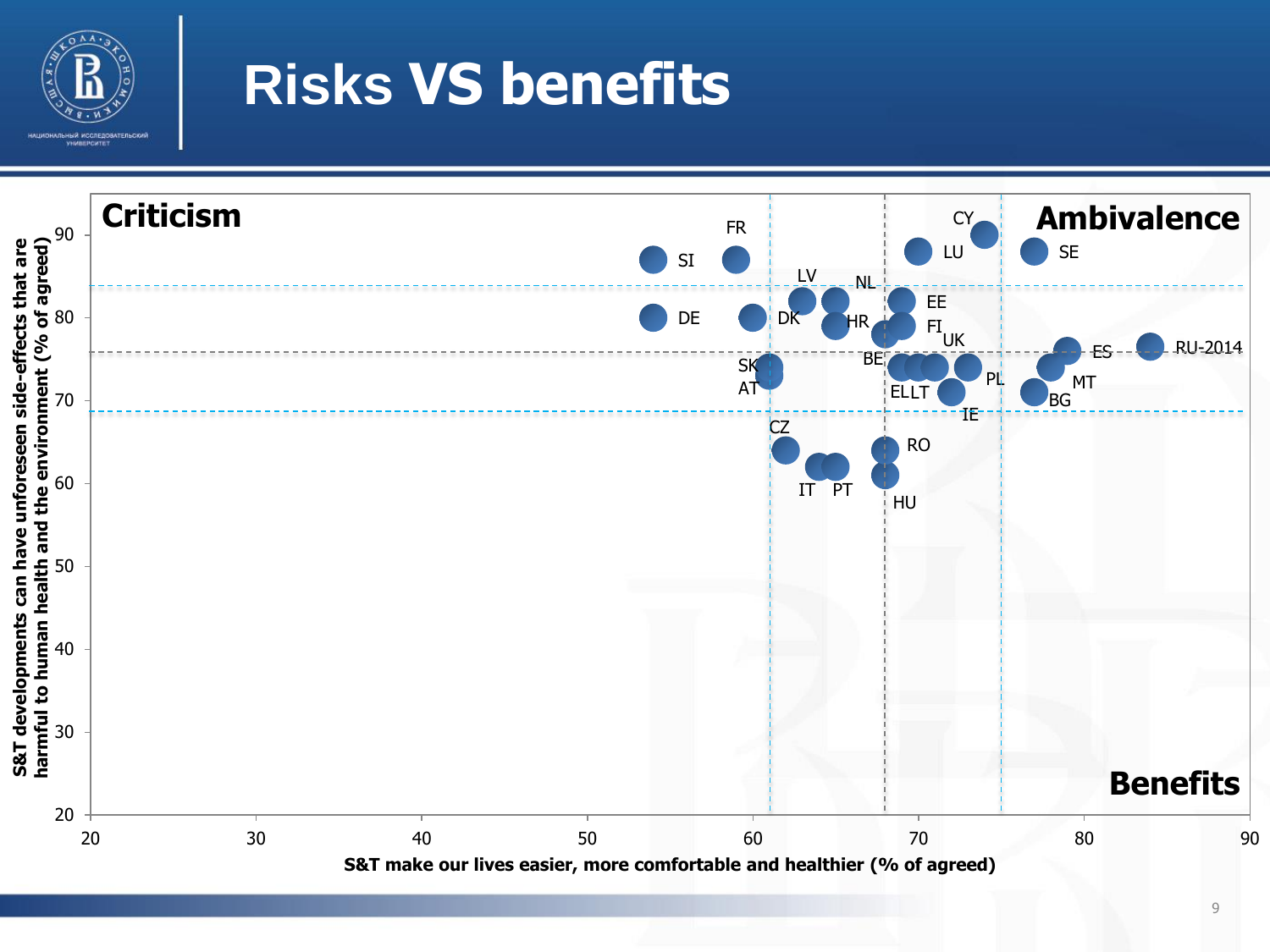

### **Risks VS benefits**

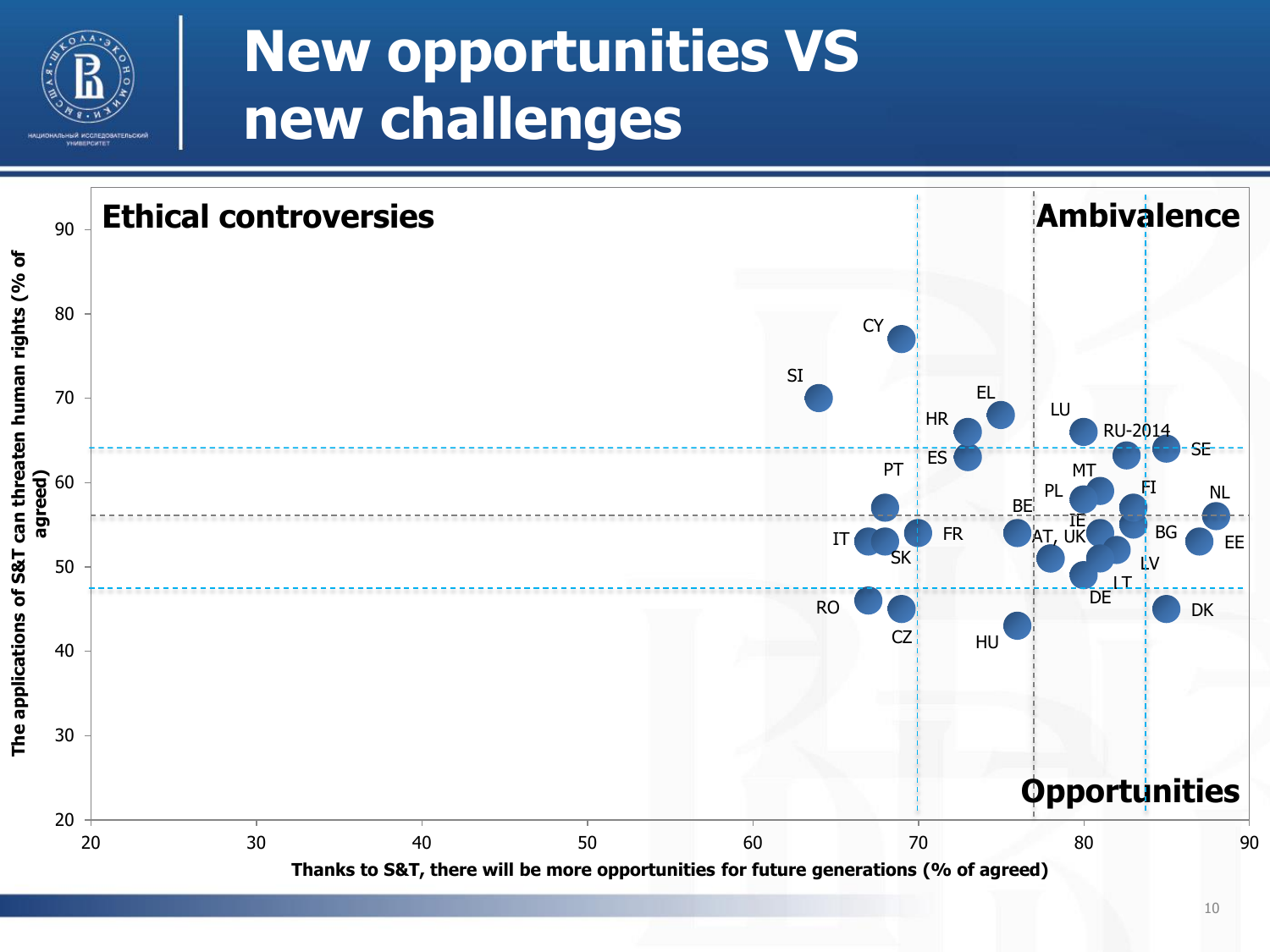

### **New opportunities VS new challenges**

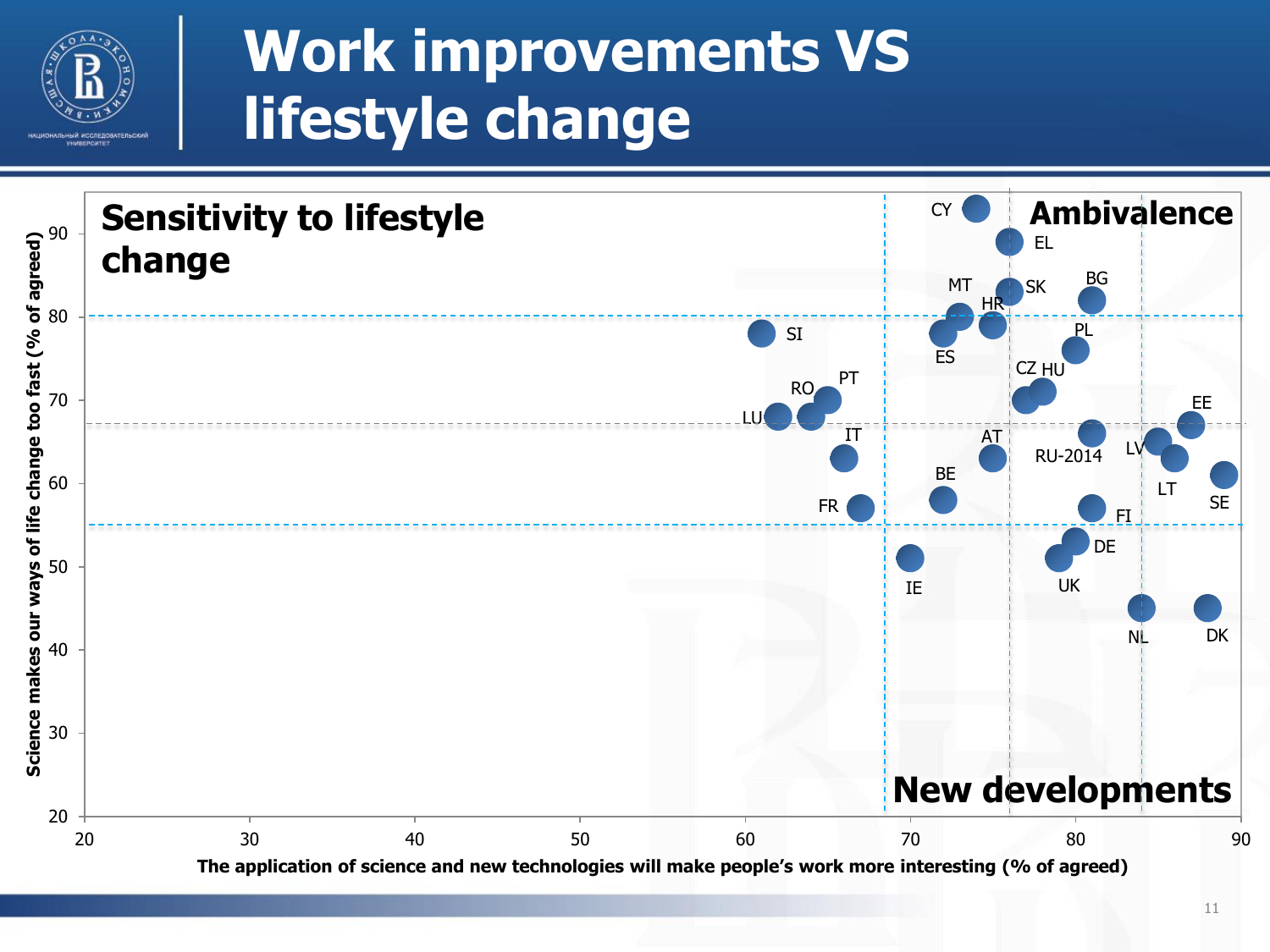

### **Work improvements VS lifestyle change**

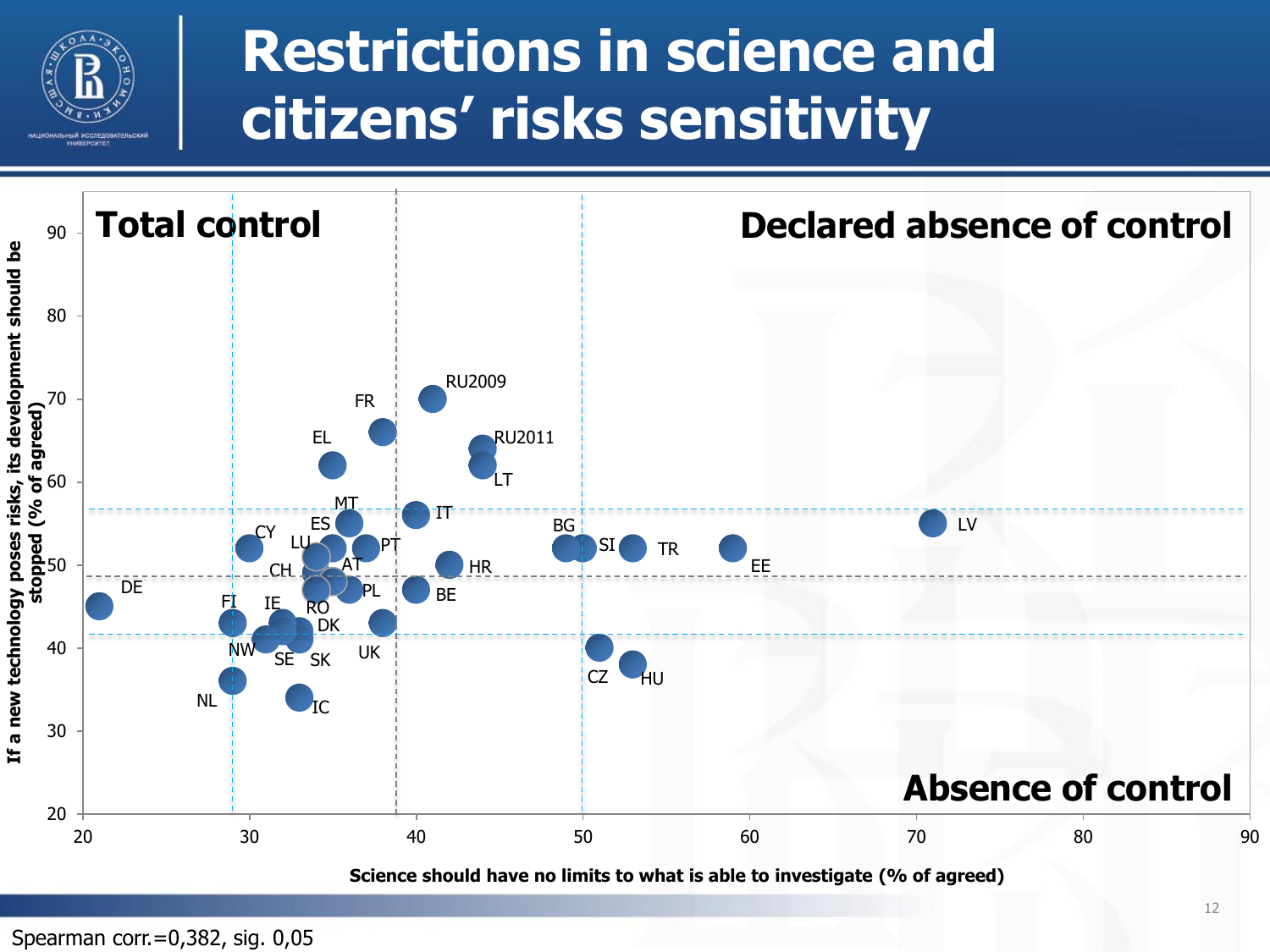

### **Restrictions in science and citizens' risks sensitivity**



Spearman corr.=0,382, sig. 0,05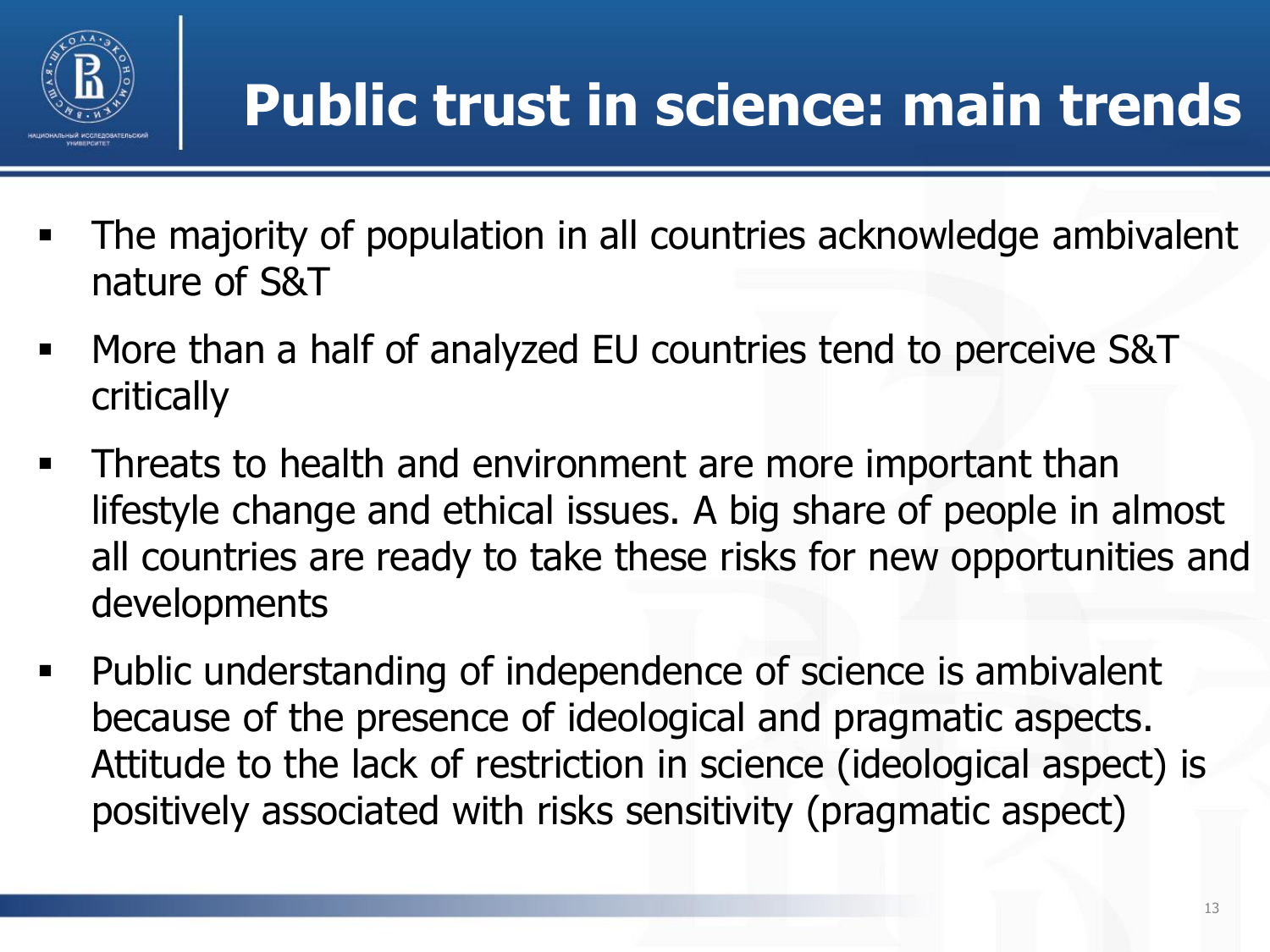

## **Public trust in science: main trends**

- The majority of population in all countries acknowledge ambivalent nature of S&T
- More than a half of analyzed EU countries tend to perceive S&T critically
- **Threats to health and environment are more important than** lifestyle change and ethical issues. A big share of people in almost all countries are ready to take these risks for new opportunities and developments
- Public understanding of independence of science is ambivalent because of the presence of ideological and pragmatic aspects. Attitude to the lack of restriction in science (ideological aspect) is positively associated with risks sensitivity (pragmatic aspect)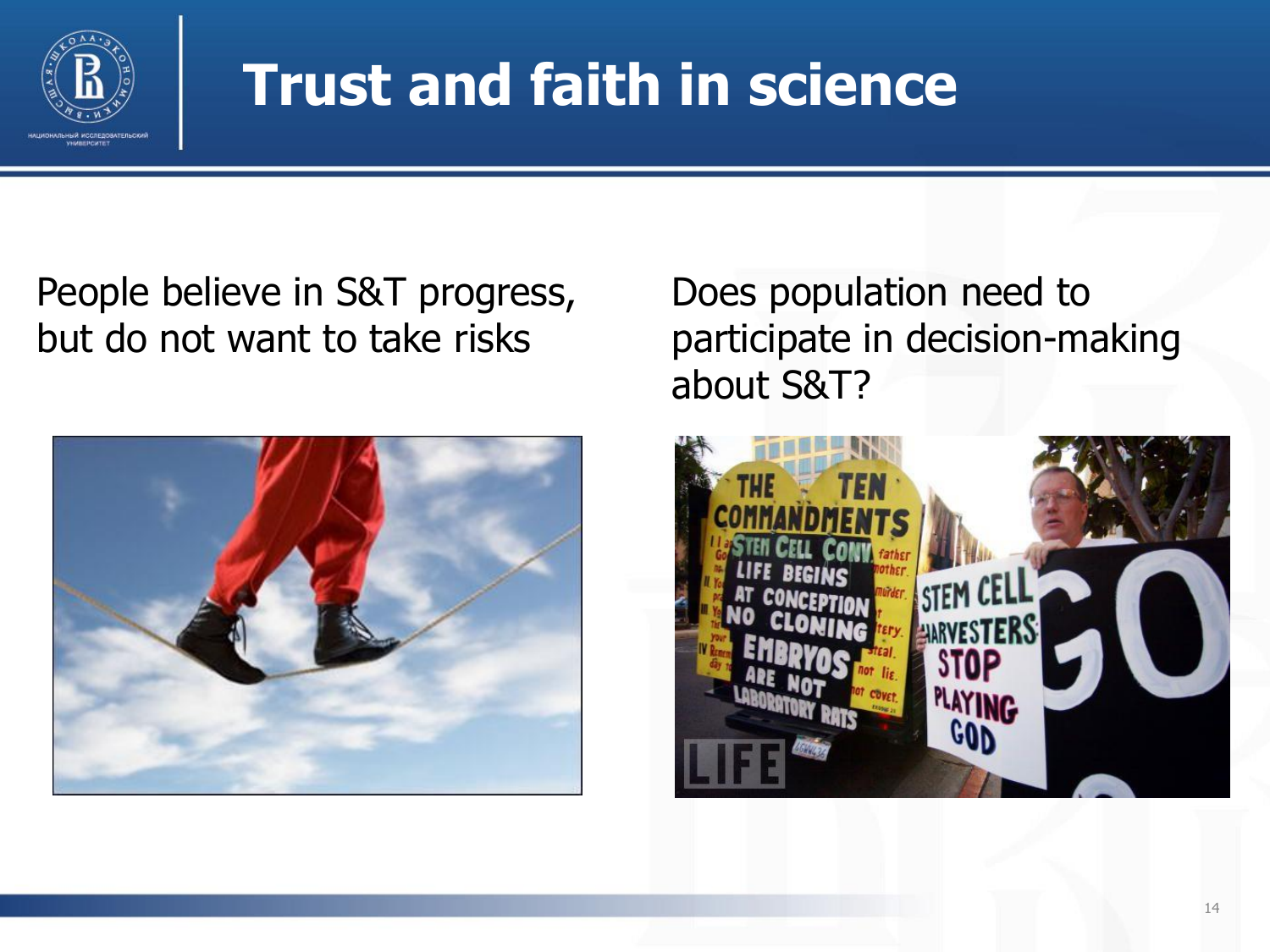

### **Trust and faith in science**

People believe in S&T progress, but do not want to take risks



Does population need to participate in decision-making about S&T?

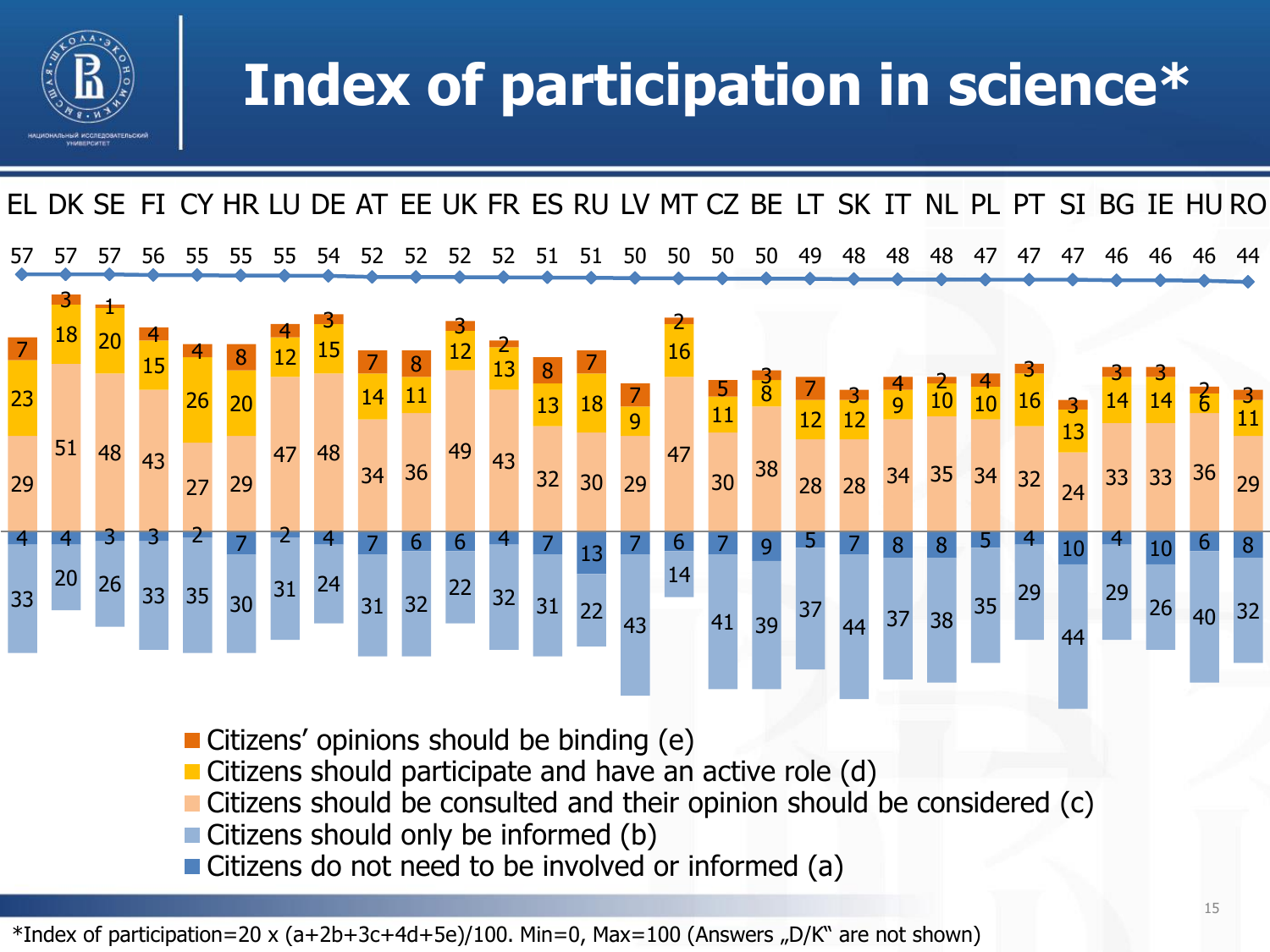

### **Index of participation in science\***



- Citizens' opinions should be binding (e)
- Citizens should participate and have an active role (d)
- Citizens should be consulted and their opinion should be considered (c)
- Citizens should only be informed (b)
- Citizens do not need to be involved or informed (a)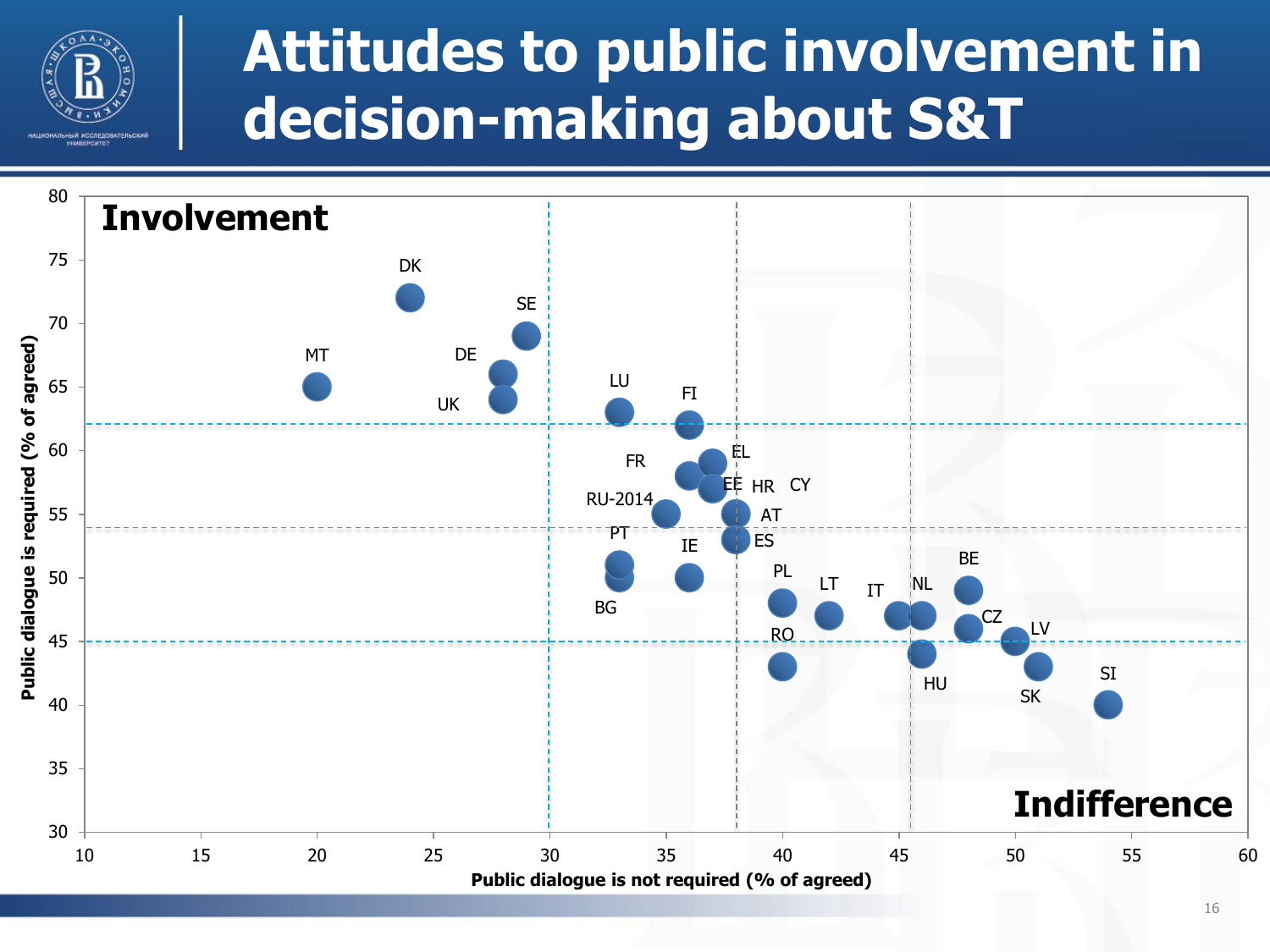

### **Attitudes to public involvement in decision-making about S&T**

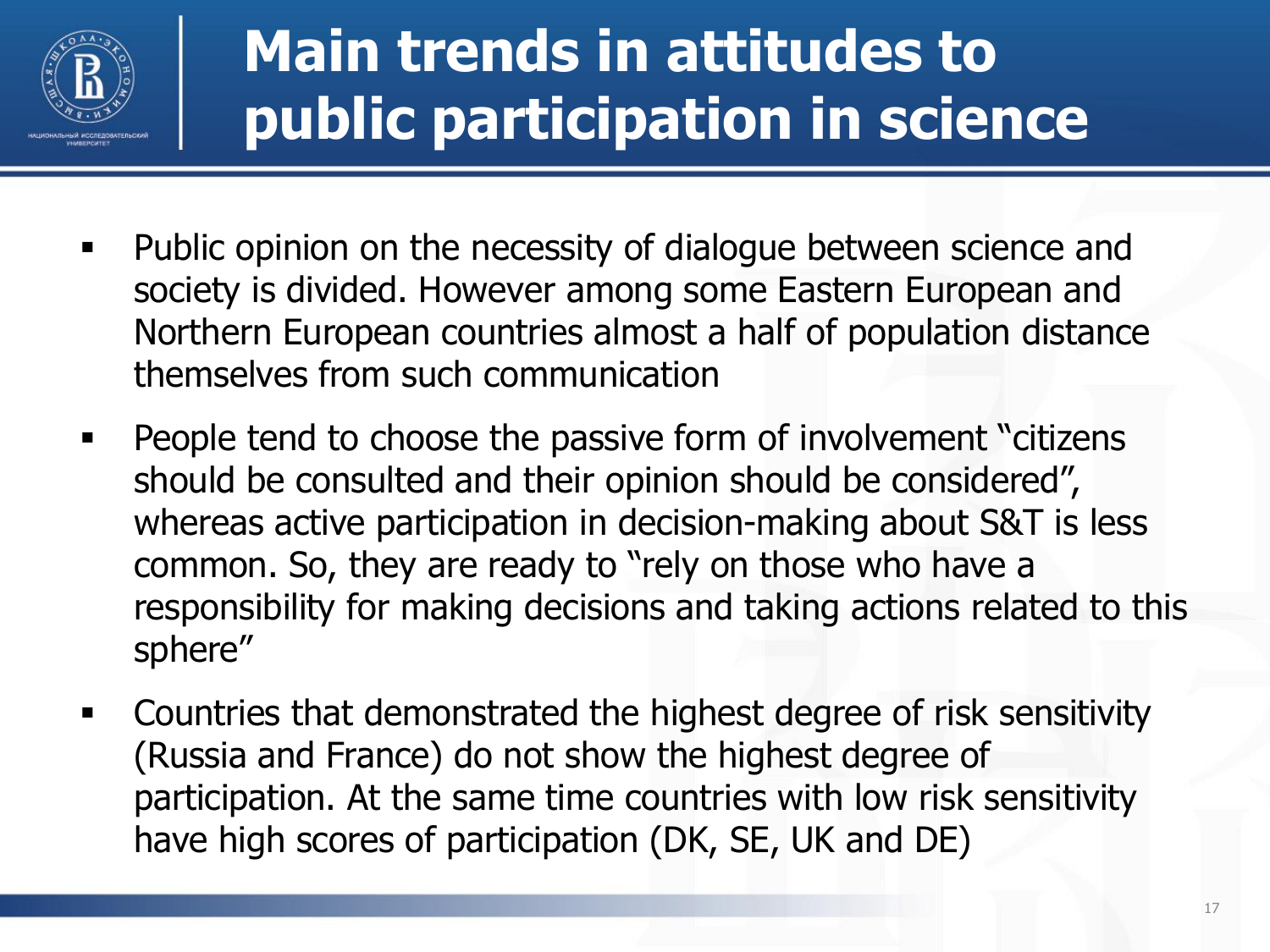

### **Main trends in attitudes to public participation in science**

- Public opinion on the necessity of dialogue between science and society is divided. However among some Eastern European and Northern European countries almost a half of population distance themselves from such communication
- **People tend to choose the passive form of involvement "citizens"** should be consulted and their opinion should be considered", whereas active participation in decision-making about S&T is less common. So, they are ready to "rely on those who have a responsibility for making decisions and taking actions related to this sphere"
- Countries that demonstrated the highest degree of risk sensitivity (Russia and France) do not show the highest degree of participation. At the same time countries with low risk sensitivity have high scores of participation (DK, SE, UK and DE)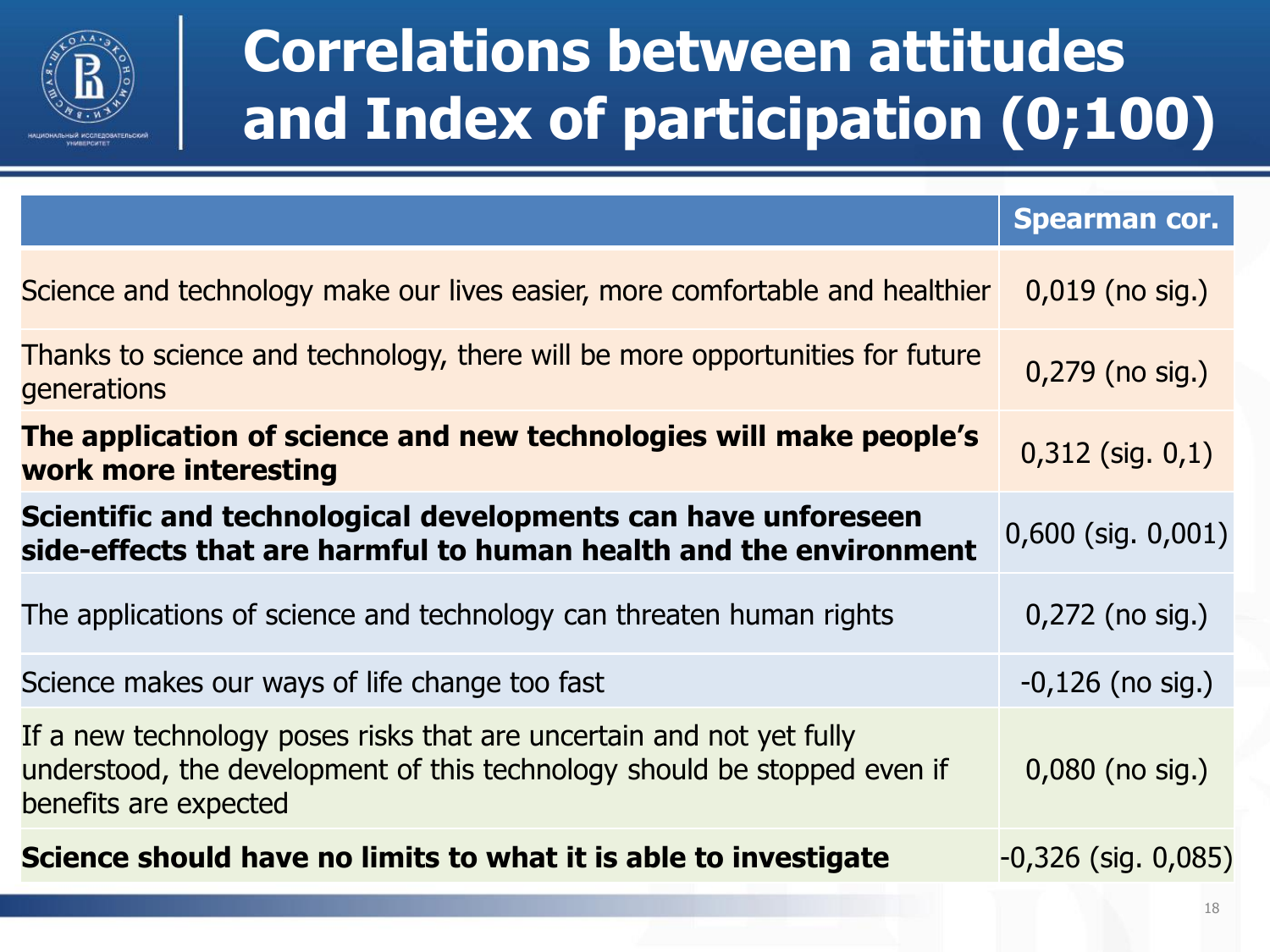

### **Correlations between attitudes and Index of participation (0;100)**

|                                                                                                                                                                           | <b>Spearman cor.</b>     |
|---------------------------------------------------------------------------------------------------------------------------------------------------------------------------|--------------------------|
| Science and technology make our lives easier, more comfortable and healthier                                                                                              | $0,019$ (no sig.)        |
| Thanks to science and technology, there will be more opportunities for future<br>generations                                                                              | 0,279 (no sig.)          |
| The application of science and new technologies will make people's<br>work more interesting                                                                               | $0,312$ (sig. $0,1$ )    |
| Scientific and technological developments can have unforeseen<br>side-effects that are harmful to human health and the environment                                        | $0,600$ (sig. $0,001$ )  |
| The applications of science and technology can threaten human rights                                                                                                      | $0,272$ (no sig.)        |
| Science makes our ways of life change too fast                                                                                                                            | $-0,126$ (no sig.)       |
| If a new technology poses risks that are uncertain and not yet fully<br>understood, the development of this technology should be stopped even if<br>benefits are expected | $0,080$ (no sig.)        |
| Science should have no limits to what it is able to investigate                                                                                                           | $-0,326$ (sig. $0,085$ ) |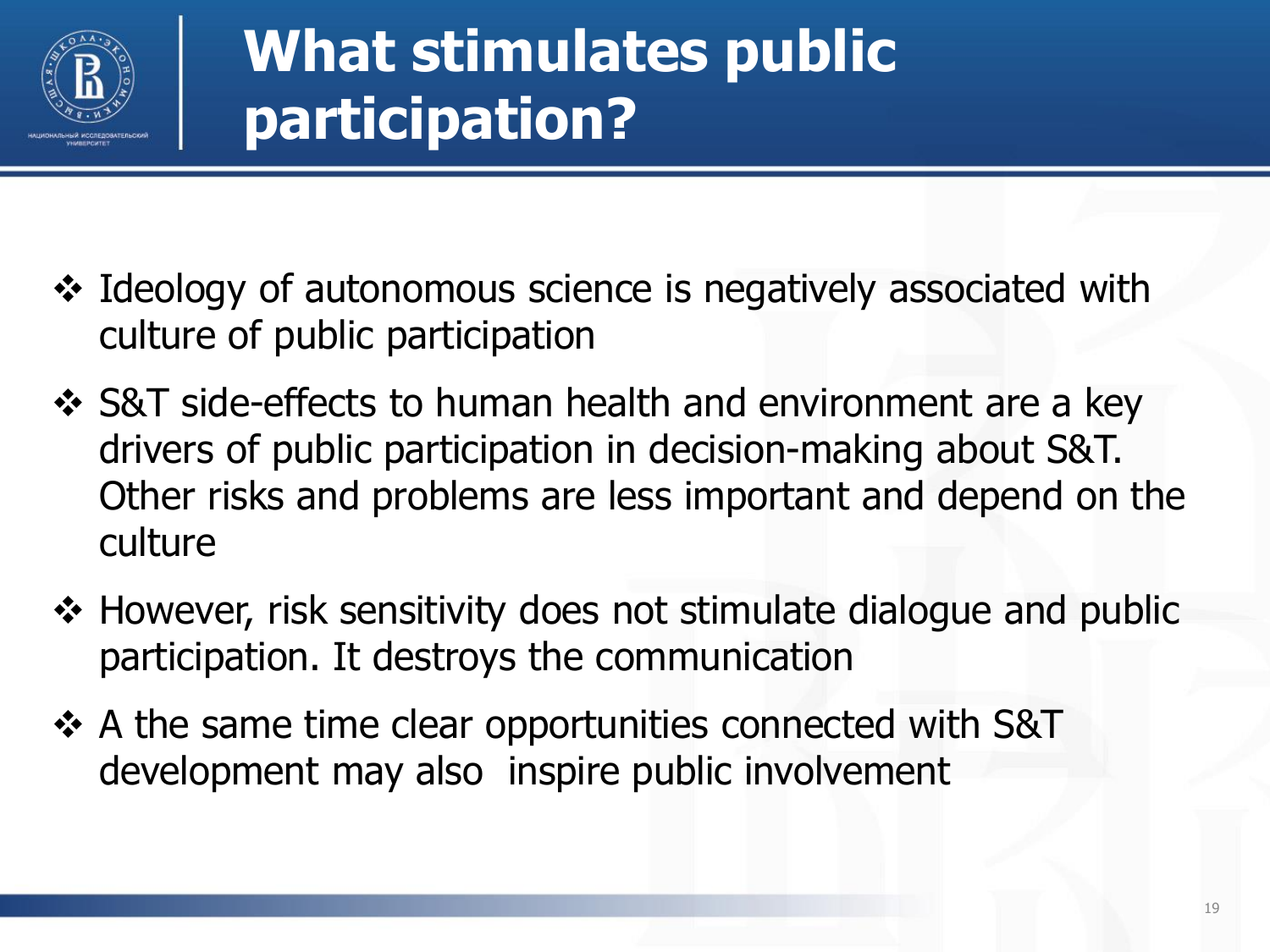

### **What stimulates public participation?**

- Ideology of autonomous science is negatively associated with culture of public participation
- ❖ S&T side-effects to human health and environment are a key drivers of public participation in decision-making about S&T. Other risks and problems are less important and depend on the culture
- ❖ However, risk sensitivity does not stimulate dialogue and public participation. It destroys the communication
- ❖ A the same time clear opportunities connected with S&T development may also inspire public involvement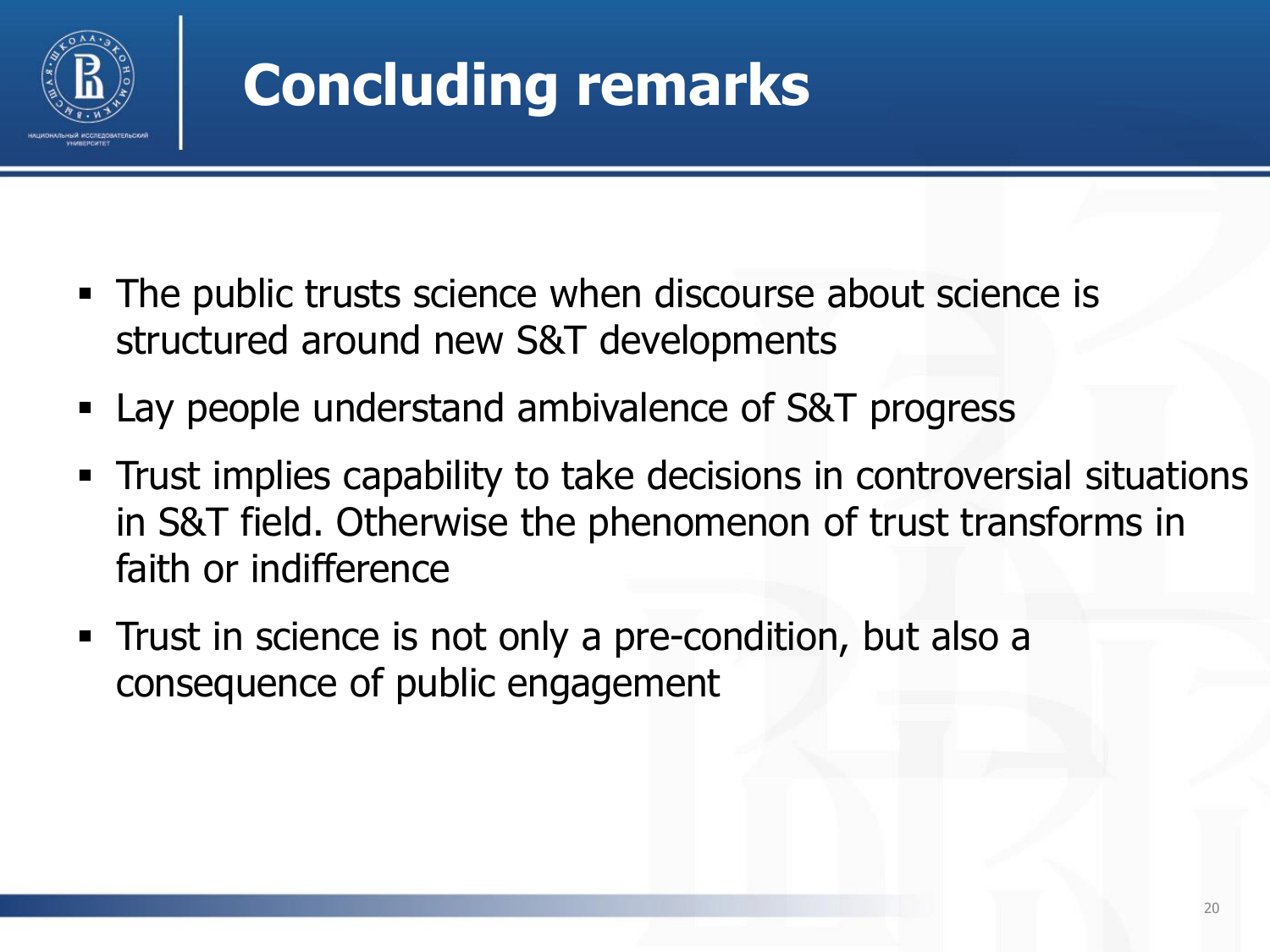

## **Concluding remarks**

- The public trusts science when discourse about science is structured around new S&T developments
- **Lay people understand ambivalence of S&T progress**
- Trust implies capability to take decisions in controversial situations in S&T field. Otherwise the phenomenon of trust transforms in faith or indifference
- **Trust in science is not only a pre-condition, but also a** consequence of public engagement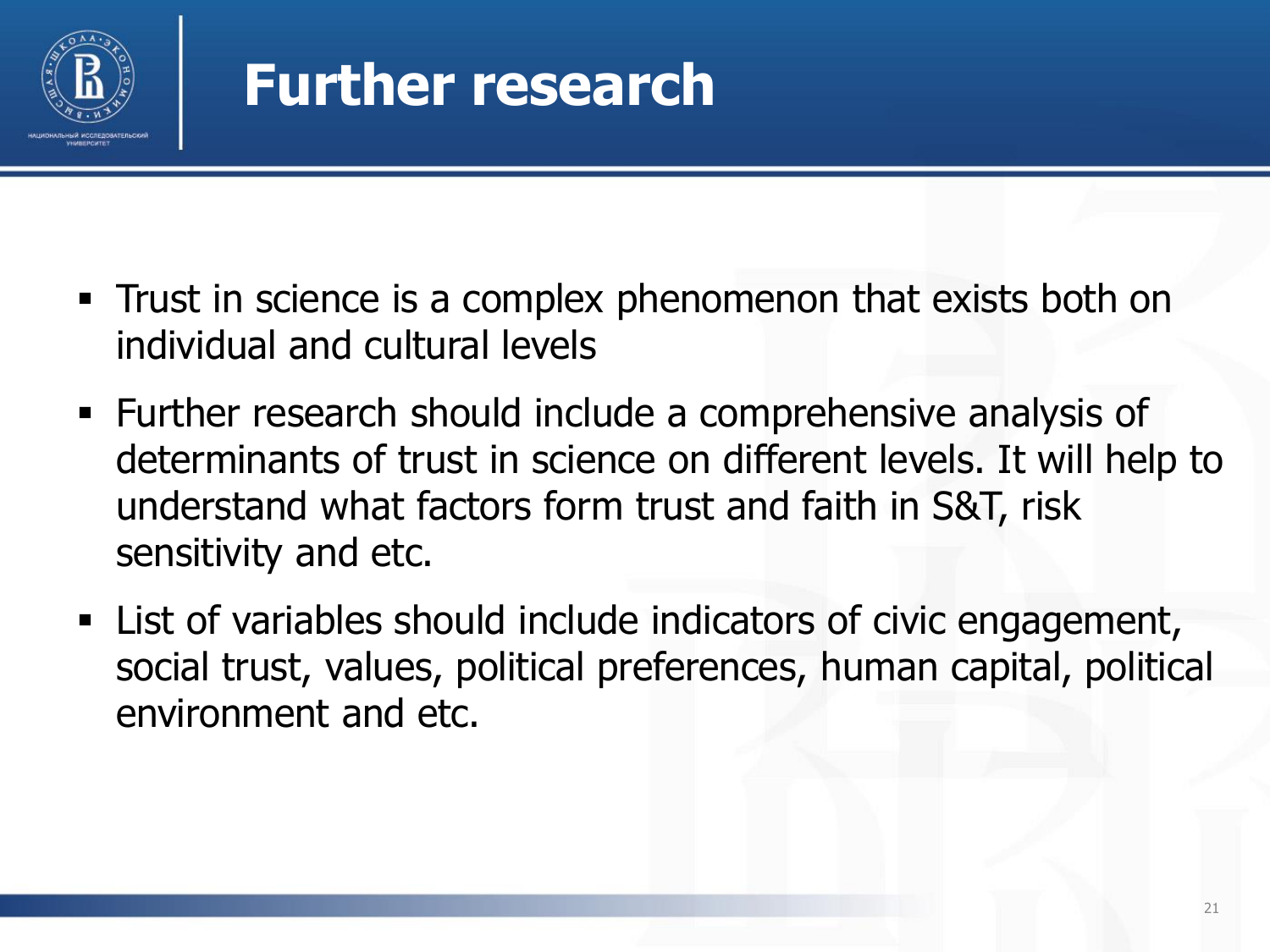

### **Further research**

- Trust in science is a complex phenomenon that exists both on individual and cultural levels
- Further research should include a comprehensive analysis of determinants of trust in science on different levels. It will help to understand what factors form trust and faith in S&T, risk sensitivity and etc.
- List of variables should include indicators of civic engagement, social trust, values, political preferences, human capital, political environment and etc.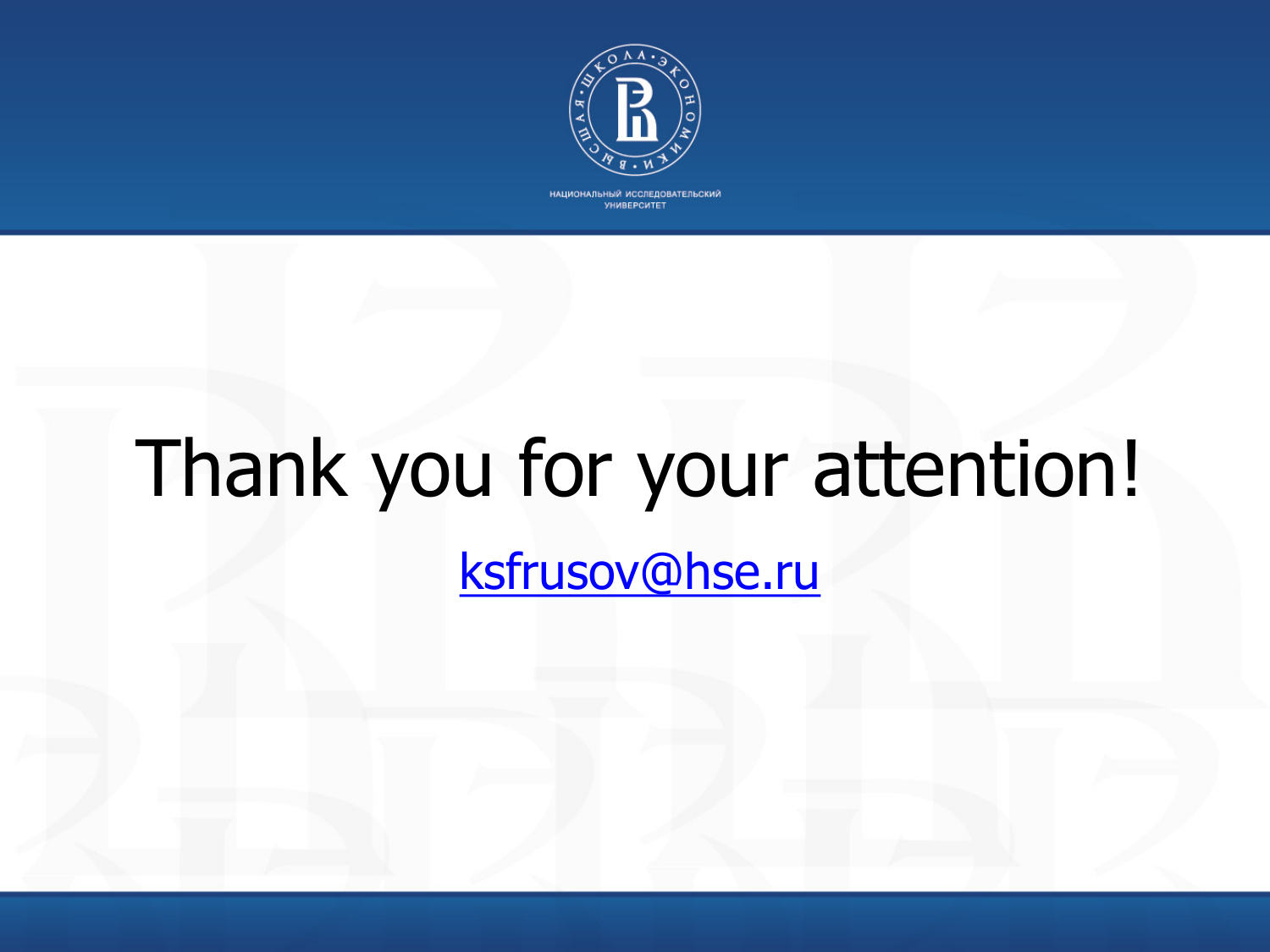

НАЦИОНАЛЬНЫЙ ИССЛЕДОВАТЕЛЬСКИЙ УНИВЕРСИТЕТ

# Thank you for your attention!

[ksfrusov@hse.ru](mailto:ksfrusov@hse.ru)